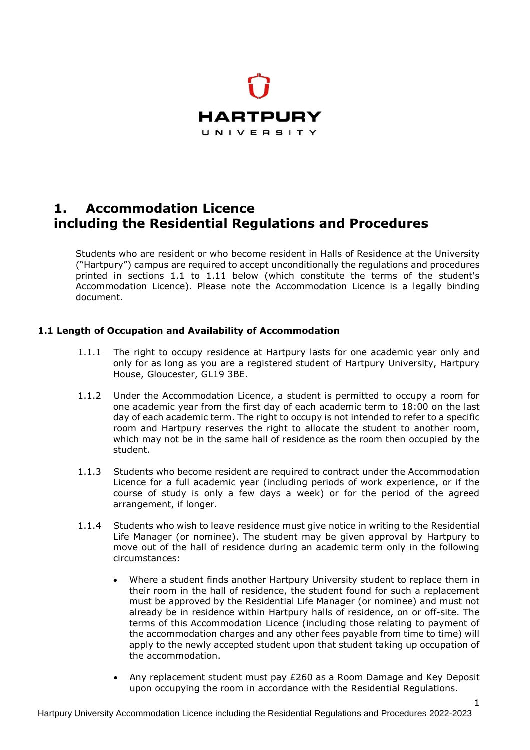

# **1. Accommodation Licence including the Residential Regulations and Procedures**

Students who are resident or who become resident in Halls of Residence at the University ("Hartpury") campus are required to accept unconditionally the regulations and procedures printed in sections 1.1 to 1.11 below (which constitute the terms of the student's Accommodation Licence). Please note the Accommodation Licence is a legally binding document.

# **1.1 Length of Occupation and Availability of Accommodation**

- 1.1.1 The right to occupy residence at Hartpury lasts for one academic year only and only for as long as you are a registered student of Hartpury University, Hartpury House, Gloucester, GL19 3BE.
- 1.1.2 Under the Accommodation Licence, a student is permitted to occupy a room for one academic year from the first day of each academic term to 18:00 on the last day of each academic term. The right to occupy is not intended to refer to a specific room and Hartpury reserves the right to allocate the student to another room, which may not be in the same hall of residence as the room then occupied by the student.
- 1.1.3 Students who become resident are required to contract under the Accommodation Licence for a full academic year (including periods of work experience, or if the course of study is only a few days a week) or for the period of the agreed arrangement, if longer.
- 1.1.4 Students who wish to leave residence must give notice in writing to the Residential Life Manager (or nominee). The student may be given approval by Hartpury to move out of the hall of residence during an academic term only in the following circumstances:
	- Where a student finds another Hartpury University student to replace them in their room in the hall of residence, the student found for such a replacement must be approved by the Residential Life Manager (or nominee) and must not already be in residence within Hartpury halls of residence, on or off-site. The terms of this Accommodation Licence (including those relating to payment of the accommodation charges and any other fees payable from time to time) will apply to the newly accepted student upon that student taking up occupation of the accommodation.
	- Any replacement student must pay £260 as a Room Damage and Key Deposit upon occupying the room in accordance with the Residential Regulations*.*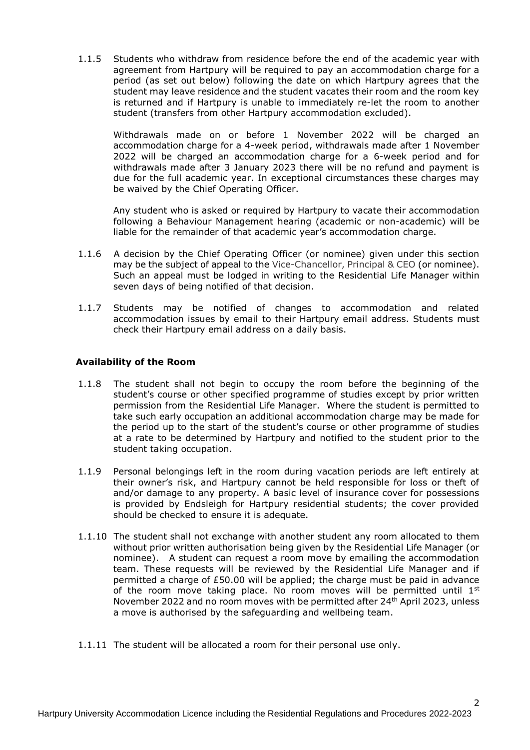1.1.5 Students who withdraw from residence before the end of the academic year with agreement from Hartpury will be required to pay an accommodation charge for a period (as set out below) following the date on which Hartpury agrees that the student may leave residence and the student vacates their room and the room key is returned and if Hartpury is unable to immediately re-let the room to another student (transfers from other Hartpury accommodation excluded).

Withdrawals made on or before 1 November 2022 will be charged an accommodation charge for a 4-week period, withdrawals made after 1 November 2022 will be charged an accommodation charge for a 6-week period and for withdrawals made after 3 January 2023 there will be no refund and payment is due for the full academic year. In exceptional circumstances these charges may be waived by the Chief Operating Officer.

Any student who is asked or required by Hartpury to vacate their accommodation following a Behaviour Management hearing (academic or non-academic) will be liable for the remainder of that academic year's accommodation charge.

- 1.1.6 A decision by the Chief Operating Officer (or nominee) given under this section may be the subject of appeal to the Vice-Chancellor, Principal & CEO (or nominee). Such an appeal must be lodged in writing to the Residential Life Manager within seven days of being notified of that decision.
- 1.1.7 Students may be notified of changes to accommodation and related accommodation issues by email to their Hartpury email address. Students must check their Hartpury email address on a daily basis.

## **Availability of the Room**

- 1.1.8 The student shall not begin to occupy the room before the beginning of the student's course or other specified programme of studies except by prior written permission from the Residential Life Manager. Where the student is permitted to take such early occupation an additional accommodation charge may be made for the period up to the start of the student's course or other programme of studies at a rate to be determined by Hartpury and notified to the student prior to the student taking occupation.
- 1.1.9 Personal belongings left in the room during vacation periods are left entirely at their owner's risk, and Hartpury cannot be held responsible for loss or theft of and/or damage to any property. A basic level of insurance cover for possessions is provided by Endsleigh for Hartpury residential students; the cover provided should be checked to ensure it is adequate.
- 1.1.10 The student shall not exchange with another student any room allocated to them without prior written authorisation being given by the Residential Life Manager (or nominee). A student can request a room move by emailing the accommodation team. These requests will be reviewed by the Residential Life Manager and if permitted a charge of £50.00 will be applied; the charge must be paid in advance of the room move taking place. No room moves will be permitted until  $1^{st}$ November 2022 and no room moves with be permitted after 24 th April 2023, unless a move is authorised by the safeguarding and wellbeing team.
- 1.1.11 The student will be allocated a room for their personal use only.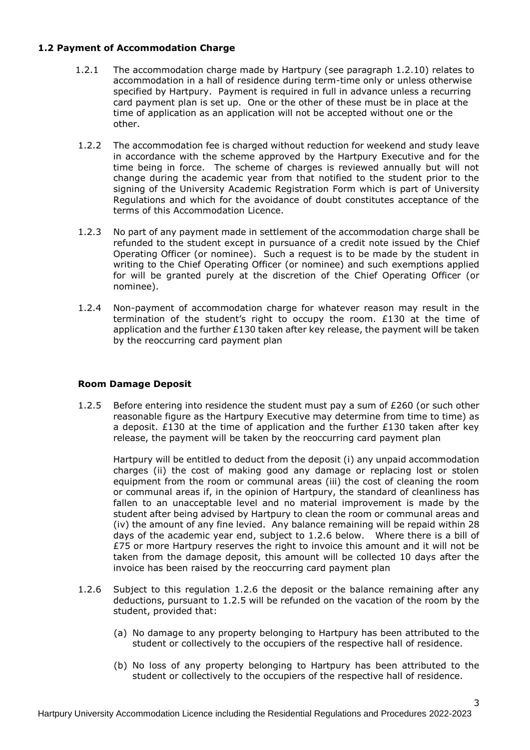## **1.2 Payment of Accommodation Charge**

- 1.2.1 The accommodation charge made by Hartpury (see paragraph 1.2.10) relates to accommodation in a hall of residence during term-time only or unless otherwise specified by Hartpury. Payment is required in full in advance unless a recurring card payment plan is set up. One or the other of these must be in place at the time of application as an application will not be accepted without one or the other.
- 1.2.2 The accommodation fee is charged without reduction for weekend and study leave in accordance with the scheme approved by the Hartpury Executive and for the time being in force. The scheme of charges is reviewed annually but will not change during the academic year from that notified to the student prior to the signing of the University Academic Registration Form which is part of University Regulations and which for the avoidance of doubt constitutes acceptance of the terms of this Accommodation Licence.
- 1.2.3 No part of any payment made in settlement of the accommodation charge shall be refunded to the student except in pursuance of a credit note issued by the Chief Operating Officer (or nominee). Such a request is to be made by the student in writing to the Chief Operating Officer (or nominee) and such exemptions applied for will be granted purely at the discretion of the Chief Operating Officer (or nominee).
- 1.2.4 Non-payment of accommodation charge for whatever reason may result in the termination of the student's right to occupy the room.  $£130$  at the time of application and the further £130 taken after key release, the payment will be taken by the reoccurring card payment plan

# **Room Damage Deposit**

1.2.5 Before entering into residence the student must pay a sum of  $£260$  (or such other reasonable figure as the Hartpury Executive may determine from time to time) as a deposit.  $£130$  at the time of application and the further  $£130$  taken after key release, the payment will be taken by the reoccurring card payment plan

Hartpury will be entitled to deduct from the deposit (i) any unpaid accommodation charges (ii) the cost of making good any damage or replacing lost or stolen equipment from the room or communal areas (iii) the cost of cleaning the room or communal areas if, in the opinion of Hartpury, the standard of cleanliness has fallen to an unacceptable level and no material improvement is made by the student after being advised by Hartpury to clean the room or communal areas and (iv) the amount of any fine levied. Any balance remaining will be repaid within 28 days of the academic year end, subject to 1.2.6 below. Where there is a bill of £75 or more Hartpury reserves the right to invoice this amount and it will not be taken from the damage deposit, this amount will be collected 10 days after the invoice has been raised by the reoccurring card payment plan

- 1.2.6 Subject to this regulation 1.2.6 the deposit or the balance remaining after any deductions, pursuant to 1.2.5 will be refunded on the vacation of the room by the student, provided that:
	- (a) No damage to any property belonging to Hartpury has been attributed to the student or collectively to the occupiers of the respective hall of residence.
	- (b) No loss of any property belonging to Hartpury has been attributed to the student or collectively to the occupiers of the respective hall of residence.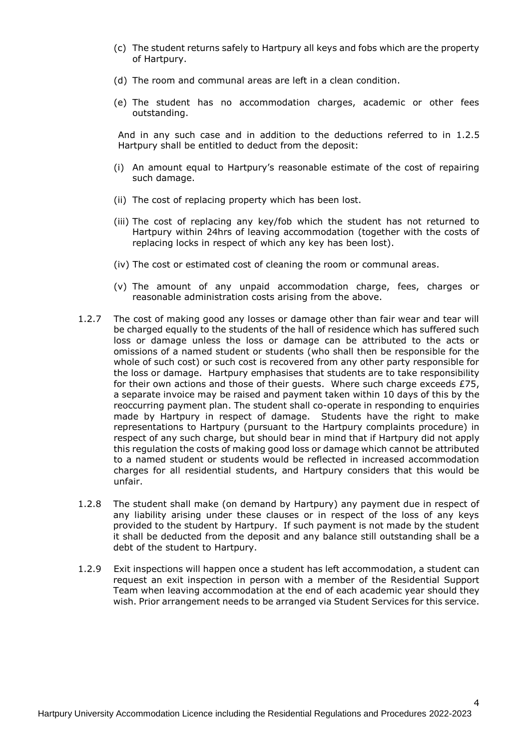- (c) The student returns safely to Hartpury all keys and fobs which are the property of Hartpury.
- (d) The room and communal areas are left in a clean condition.
- (e) The student has no accommodation charges, academic or other fees outstanding.

And in any such case and in addition to the deductions referred to in 1.2.5 Hartpury shall be entitled to deduct from the deposit:

- (i) An amount equal to Hartpury's reasonable estimate of the cost of repairing such damage.
- (ii) The cost of replacing property which has been lost.
- (iii) The cost of replacing any key/fob which the student has not returned to Hartpury within 24hrs of leaving accommodation (together with the costs of replacing locks in respect of which any key has been lost).
- (iv) The cost or estimated cost of cleaning the room or communal areas.
- (v) The amount of any unpaid accommodation charge, fees, charges or reasonable administration costs arising from the above.
- 1.2.7 The cost of making good any losses or damage other than fair wear and tear will be charged equally to the students of the hall of residence which has suffered such loss or damage unless the loss or damage can be attributed to the acts or omissions of a named student or students (who shall then be responsible for the whole of such cost) or such cost is recovered from any other party responsible for the loss or damage. Hartpury emphasises that students are to take responsibility for their own actions and those of their quests. Where such charge exceeds £75, a separate invoice may be raised and payment taken within 10 days of this by the reoccurring payment plan. The student shall co-operate in responding to enquiries made by Hartpury in respect of damage. Students have the right to make representations to Hartpury (pursuant to the Hartpury complaints procedure) in respect of any such charge, but should bear in mind that if Hartpury did not apply this regulation the costs of making good loss or damage which cannot be attributed to a named student or students would be reflected in increased accommodation charges for all residential students, and Hartpury considers that this would be unfair.
- 1.2.8 The student shall make (on demand by Hartpury) any payment due in respect of any liability arising under these clauses or in respect of the loss of any keys provided to the student by Hartpury. If such payment is not made by the student it shall be deducted from the deposit and any balance still outstanding shall be a debt of the student to Hartpury.
- 1.2.9 Exit inspections will happen once a student has left accommodation, a student can request an exit inspection in person with a member of the Residential Support Team when leaving accommodation at the end of each academic year should they wish. Prior arrangement needs to be arranged via Student Services for this service.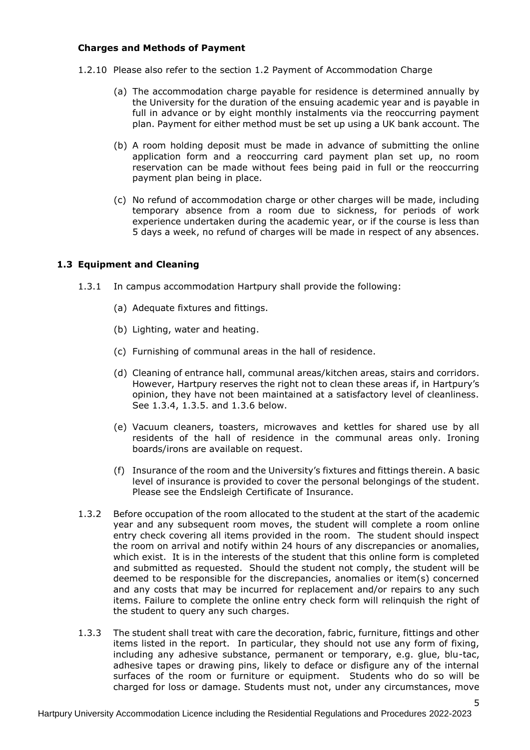#### **Charges and Methods of Payment**

- 1.2.10 Please also refer to the section 1.2 Payment of Accommodation Charge
	- (a) The accommodation charge payable for residence is determined annually by the University for the duration of the ensuing academic year and is payable in full in advance or by eight monthly instalments via the reoccurring payment plan. Payment for either method must be set up using a UK bank account. The
	- (b) A room holding deposit must be made in advance of submitting the online application form and a reoccurring card payment plan set up, no room reservation can be made without fees being paid in full or the reoccurring payment plan being in place.
	- (c) No refund of accommodation charge or other charges will be made, including temporary absence from a room due to sickness, for periods of work experience undertaken during the academic year, or if the course is less than 5 days a week, no refund of charges will be made in respect of any absences.

#### **1.3 Equipment and Cleaning**

- 1.3.1 In campus accommodation Hartpury shall provide the following:
	- (a) Adequate fixtures and fittings.
	- (b) Lighting, water and heating.
	- (c) Furnishing of communal areas in the hall of residence.
	- (d) Cleaning of entrance hall, communal areas/kitchen areas, stairs and corridors. However, Hartpury reserves the right not to clean these areas if, in Hartpury's opinion, they have not been maintained at a satisfactory level of cleanliness. See 1.3.4, 1.3.5. and 1.3.6 below.
	- (e) Vacuum cleaners, toasters, microwaves and kettles for shared use by all residents of the hall of residence in the communal areas only. Ironing boards/irons are available on request.
	- (f) Insurance of the room and the University's fixtures and fittings therein. A basic level of insurance is provided to cover the personal belongings of the student. Please see the Endsleigh Certificate of Insurance.
- 1.3.2 Before occupation of the room allocated to the student at the start of the academic year and any subsequent room moves, the student will complete a room online entry check covering all items provided in the room. The student should inspect the room on arrival and notify within 24 hours of any discrepancies or anomalies, which exist. It is in the interests of the student that this online form is completed and submitted as requested. Should the student not comply, the student will be deemed to be responsible for the discrepancies, anomalies or item(s) concerned and any costs that may be incurred for replacement and/or repairs to any such items. Failure to complete the online entry check form will relinquish the right of the student to query any such charges.
- 1.3.3 The student shall treat with care the decoration, fabric, furniture, fittings and other items listed in the report. In particular, they should not use any form of fixing, including any adhesive substance, permanent or temporary, e.g. glue, blu-tac, adhesive tapes or drawing pins, likely to deface or disfigure any of the internal surfaces of the room or furniture or equipment.Students who do so will be charged for loss or damage. Students must not, under any circumstances, move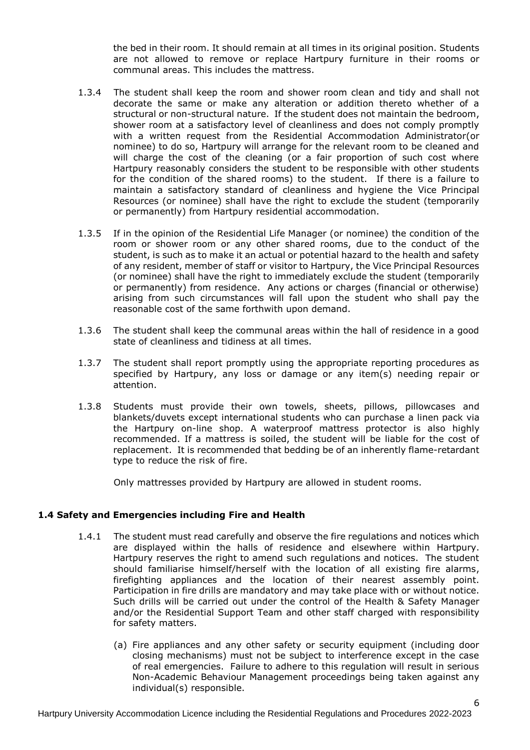the bed in their room. It should remain at all times in its original position. Students are not allowed to remove or replace Hartpury furniture in their rooms or communal areas. This includes the mattress.

- 1.3.4 The student shall keep the room and shower room clean and tidy and shall not decorate the same or make any alteration or addition thereto whether of a structural or non-structural nature. If the student does not maintain the bedroom, shower room at a satisfactory level of cleanliness and does not comply promptly with a written request from the Residential Accommodation Administrator(or nominee) to do so, Hartpury will arrange for the relevant room to be cleaned and will charge the cost of the cleaning (or a fair proportion of such cost where Hartpury reasonably considers the student to be responsible with other students for the condition of the shared rooms) to the student. If there is a failure to maintain a satisfactory standard of cleanliness and hygiene the Vice Principal Resources (or nominee) shall have the right to exclude the student (temporarily or permanently) from Hartpury residential accommodation.
- 1.3.5 If in the opinion of the Residential Life Manager (or nominee) the condition of the room or shower room or any other shared rooms, due to the conduct of the student, is such as to make it an actual or potential hazard to the health and safety of any resident, member of staff or visitor to Hartpury, the Vice Principal Resources (or nominee) shall have the right to immediately exclude the student (temporarily or permanently) from residence. Any actions or charges (financial or otherwise) arising from such circumstances will fall upon the student who shall pay the reasonable cost of the same forthwith upon demand.
- 1.3.6 The student shall keep the communal areas within the hall of residence in a good state of cleanliness and tidiness at all times.
- 1.3.7 The student shall report promptly using the appropriate reporting procedures as specified by Hartpury, any loss or damage or any item(s) needing repair or attention.
- 1.3.8 Students must provide their own towels, sheets, pillows, pillowcases and blankets/duvets except international students who can purchase a linen pack via the Hartpury on-line shop. A waterproof mattress protector is also highly recommended. If a mattress is soiled, the student will be liable for the cost of replacement. It is recommended that bedding be of an inherently flame-retardant type to reduce the risk of fire.

Only mattresses provided by Hartpury are allowed in student rooms.

#### **1.4 Safety and Emergencies including Fire and Health**

- 1.4.1 The student must read carefully and observe the fire regulations and notices which are displayed within the halls of residence and elsewhere within Hartpury. Hartpury reserves the right to amend such regulations and notices. The student should familiarise himself/herself with the location of all existing fire alarms, firefighting appliances and the location of their nearest assembly point. Participation in fire drills are mandatory and may take place with or without notice. Such drills will be carried out under the control of the Health & Safety Manager and/or the Residential Support Team and other staff charged with responsibility for safety matters.
	- (a) Fire appliances and any other safety or security equipment (including door closing mechanisms) must not be subject to interference except in the case of real emergencies. Failure to adhere to this regulation will result in serious Non-Academic Behaviour Management proceedings being taken against any individual(s) responsible.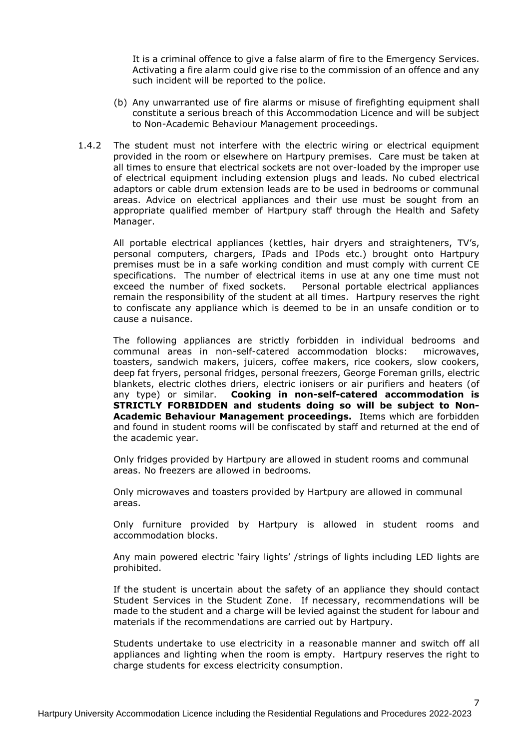It is a criminal offence to give a false alarm of fire to the Emergency Services. Activating a fire alarm could give rise to the commission of an offence and any such incident will be reported to the police.

- (b) Any unwarranted use of fire alarms or misuse of firefighting equipment shall constitute a serious breach of this Accommodation Licence and will be subject to Non-Academic Behaviour Management proceedings.
- 1.4.2 The student must not interfere with the electric wiring or electrical equipment provided in the room or elsewhere on Hartpury premises. Care must be taken at all times to ensure that electrical sockets are not over-loaded by the improper use of electrical equipment including extension plugs and leads. No cubed electrical adaptors or cable drum extension leads are to be used in bedrooms or communal areas. Advice on electrical appliances and their use must be sought from an appropriate qualified member of Hartpury staff through the Health and Safety Manager.

All portable electrical appliances (kettles, hair dryers and straighteners, TV's, personal computers, chargers, IPads and IPods etc.) brought onto Hartpury premises must be in a safe working condition and must comply with current CE specifications. The number of electrical items in use at any one time must not exceed the number of fixed sockets. Personal portable electrical appliances remain the responsibility of the student at all times. Hartpury reserves the right to confiscate any appliance which is deemed to be in an unsafe condition or to cause a nuisance.

The following appliances are strictly forbidden in individual bedrooms and communal areas in non-self-catered accommodation blocks: microwaves, toasters, sandwich makers, juicers, coffee makers, rice cookers, slow cookers, deep fat fryers, personal fridges, personal freezers, George Foreman grills, electric blankets, electric clothes driers, electric ionisers or air purifiers and heaters (of any type) or similar. **Cooking in non-self-catered accommodation is STRICTLY FORBIDDEN and students doing so will be subject to Non-Academic Behaviour Management proceedings.** Items which are forbidden and found in student rooms will be confiscated by staff and returned at the end of the academic year.

Only fridges provided by Hartpury are allowed in student rooms and communal areas. No freezers are allowed in bedrooms.

Only microwaves and toasters provided by Hartpury are allowed in communal areas.

Only furniture provided by Hartpury is allowed in student rooms and accommodation blocks.

Any main powered electric 'fairy lights' /strings of lights including LED lights are prohibited.

If the student is uncertain about the safety of an appliance they should contact Student Services in the Student Zone. If necessary, recommendations will be made to the student and a charge will be levied against the student for labour and materials if the recommendations are carried out by Hartpury.

Students undertake to use electricity in a reasonable manner and switch off all appliances and lighting when the room is empty. Hartpury reserves the right to charge students for excess electricity consumption.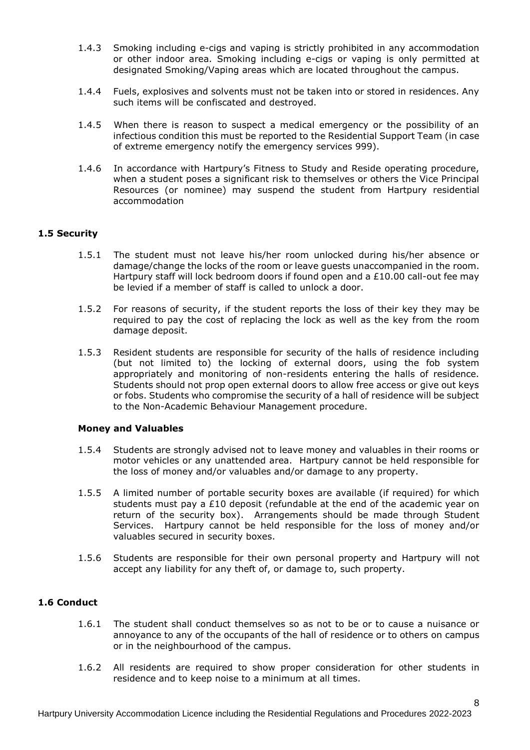- 1.4.3 Smoking including e-cigs and vaping is strictly prohibited in any accommodation or other indoor area. Smoking including e-cigs or vaping is only permitted at designated Smoking/Vaping areas which are located throughout the campus.
- 1.4.4 Fuels, explosives and solvents must not be taken into or stored in residences. Any such items will be confiscated and destroyed.
- 1.4.5 When there is reason to suspect a medical emergency or the possibility of an infectious condition this must be reported to the Residential Support Team (in case of extreme emergency notify the emergency services 999).
- 1.4.6 In accordance with Hartpury's Fitness to Study and Reside operating procedure, when a student poses a significant risk to themselves or others the Vice Principal Resources (or nominee) may suspend the student from Hartpury residential accommodation

## **1.5 Security**

- 1.5.1 The student must not leave his/her room unlocked during his/her absence or damage/change the locks of the room or leave guests unaccompanied in the room. Hartpury staff will lock bedroom doors if found open and a  $£10.00$  call-out fee may be levied if a member of staff is called to unlock a door.
- 1.5.2 For reasons of security, if the student reports the loss of their key they may be required to pay the cost of replacing the lock as well as the key from the room damage deposit.
- 1.5.3 Resident students are responsible for security of the halls of residence including (but not limited to) the locking of external doors, using the fob system appropriately and monitoring of non-residents entering the halls of residence. Students should not prop open external doors to allow free access or give out keys or fobs. Students who compromise the security of a hall of residence will be subject to the Non-Academic Behaviour Management procedure.

#### **Money and Valuables**

- 1.5.4 Students are strongly advised not to leave money and valuables in their rooms or motor vehicles or any unattended area. Hartpury cannot be held responsible for the loss of money and/or valuables and/or damage to any property.
- 1.5.5 A limited number of portable security boxes are available (if required) for which students must pay a £10 deposit (refundable at the end of the academic year on return of the security box). Arrangements should be made through Student Services. Hartpury cannot be held responsible for the loss of money and/or valuables secured in security boxes.
- 1.5.6 Students are responsible for their own personal property and Hartpury will not accept any liability for any theft of, or damage to, such property.

### **1.6 Conduct**

- 1.6.1 The student shall conduct themselves so as not to be or to cause a nuisance or annoyance to any of the occupants of the hall of residence or to others on campus or in the neighbourhood of the campus.
- 1.6.2 All residents are required to show proper consideration for other students in residence and to keep noise to a minimum at all times.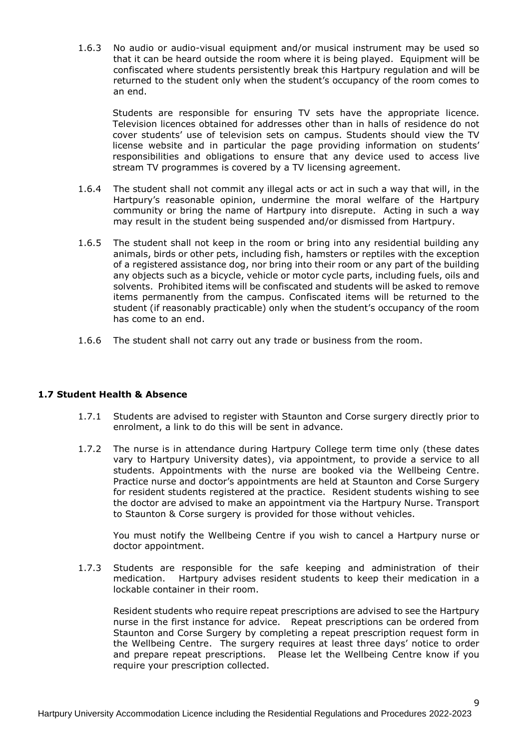1.6.3 No audio or audio-visual equipment and/or musical instrument may be used so that it can be heard outside the room where it is being played. Equipment will be confiscated where students persistently break this Hartpury regulation and will be returned to the student only when the student's occupancy of the room comes to an end.

Students are responsible for ensuring TV sets have the appropriate licence. Television licences obtained for addresses other than in halls of residence do not cover students' use of television sets on campus. Students should view the TV license website and in particular the page providing information on students' responsibilities and obligations to ensure that any device used to access live stream TV programmes is covered by a TV licensing agreement.

- 1.6.4 The student shall not commit any illegal acts or act in such a way that will, in the Hartpury's reasonable opinion, undermine the moral welfare of the Hartpury community or bring the name of Hartpury into disrepute. Acting in such a way may result in the student being suspended and/or dismissed from Hartpury.
- 1.6.5 The student shall not keep in the room or bring into any residential building any animals, birds or other pets, including fish, hamsters or reptiles with the exception of a registered assistance dog, nor bring into their room or any part of the building any objects such as a bicycle, vehicle or motor cycle parts, including fuels, oils and solvents. Prohibited items will be confiscated and students will be asked to remove items permanently from the campus. Confiscated items will be returned to the student (if reasonably practicable) only when the student's occupancy of the room has come to an end.
- 1.6.6 The student shall not carry out any trade or business from the room.

#### **1.7 Student Health & Absence**

- 1.7.1 Students are advised to register with Staunton and Corse surgery directly prior to enrolment, a link to do this will be sent in advance.
- 1.7.2 The nurse is in attendance during Hartpury College term time only (these dates vary to Hartpury University dates), via appointment, to provide a service to all students. Appointments with the nurse are booked via the Wellbeing Centre. Practice nurse and doctor's appointments are held at Staunton and Corse Surgery for resident students registered at the practice. Resident students wishing to see the doctor are advised to make an appointment via the Hartpury Nurse. Transport to Staunton & Corse surgery is provided for those without vehicles.

You must notify the Wellbeing Centre if you wish to cancel a Hartpury nurse or doctor appointment.

1.7.3 Students are responsible for the safe keeping and administration of their medication. Hartpury advises resident students to keep their medication in a lockable container in their room.

Resident students who require repeat prescriptions are advised to see the Hartpury nurse in the first instance for advice. Repeat prescriptions can be ordered from Staunton and Corse Surgery by completing a repeat prescription request form in the Wellbeing Centre. The surgery requires at least three days' notice to order and prepare repeat prescriptions. Please let the Wellbeing Centre know if you require your prescription collected.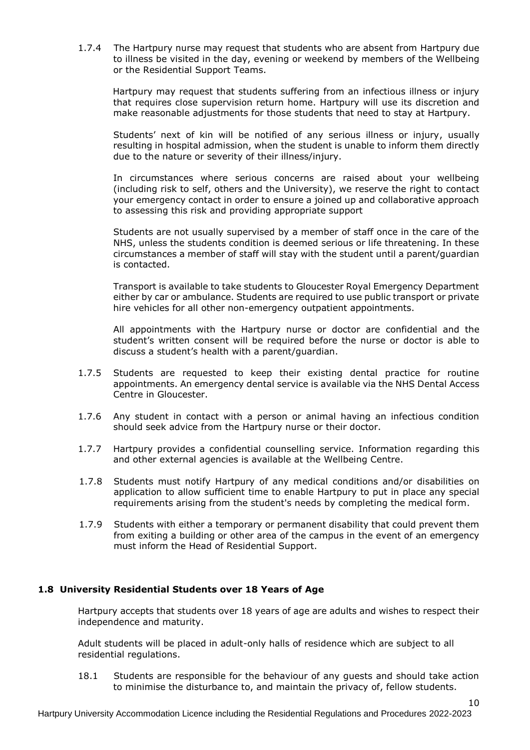1.7.4 The Hartpury nurse may request that students who are absent from Hartpury due to illness be visited in the day, evening or weekend by members of the Wellbeing or the Residential Support Teams.

 Hartpury may request that students suffering from an infectious illness or injury that requires close supervision return home. Hartpury will use its discretion and make reasonable adjustments for those students that need to stay at Hartpury.

Students' next of kin will be notified of any serious illness or injury, usually resulting in hospital admission, when the student is unable to inform them directly due to the nature or severity of their illness/injury.

In circumstances where serious concerns are raised about your wellbeing (including risk to self, others and the University), we reserve the right to contact your emergency contact in order to ensure a joined up and collaborative approach to assessing this risk and providing appropriate support

Students are not usually supervised by a member of staff once in the care of the NHS, unless the students condition is deemed serious or life threatening. In these circumstances a member of staff will stay with the student until a parent/guardian is contacted.

Transport is available to take students to Gloucester Royal Emergency Department either by car or ambulance. Students are required to use public transport or private hire vehicles for all other non-emergency outpatient appointments.

All appointments with the Hartpury nurse or doctor are confidential and the student's written consent will be required before the nurse or doctor is able to discuss a student's health with a parent/guardian.

- 1.7.5 Students are requested to keep their existing dental practice for routine appointments. An emergency dental service is available via the NHS Dental Access Centre in Gloucester.
- 1.7.6 Any student in contact with a person or animal having an infectious condition should seek advice from the Hartpury nurse or their doctor.
- 1.7.7 Hartpury provides a confidential counselling service. Information regarding this and other external agencies is available at the Wellbeing Centre.
- 1.7.8 Students must notify Hartpury of any medical conditions and/or disabilities on application to allow sufficient time to enable Hartpury to put in place any special requirements arising from the student's needs by completing the medical form.
- 1.7.9 Students with either a temporary or permanent disability that could prevent them from exiting a building or other area of the campus in the event of an emergency must inform the Head of Residential Support.

# **1.8 University Residential Students over 18 Years of Age**

Hartpury accepts that students over 18 years of age are adults and wishes to respect their independence and maturity.

Adult students will be placed in adult-only halls of residence which are subject to all residential regulations.

18.1 Students are responsible for the behaviour of any guests and should take action to minimise the disturbance to, and maintain the privacy of, fellow students.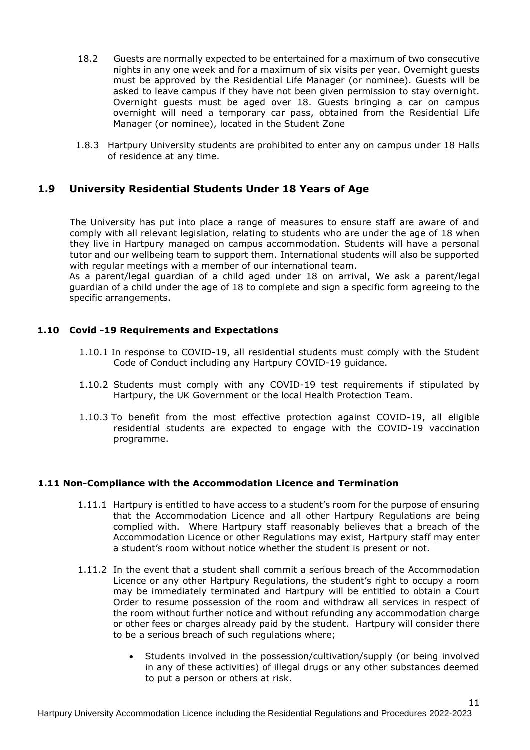- 18.2 Guests are normally expected to be entertained for a maximum of two consecutive nights in any one week and for a maximum of six visits per year. Overnight guests must be approved by the Residential Life Manager (or nominee). Guests will be asked to leave campus if they have not been given permission to stay overnight. Overnight guests must be aged over 18. Guests bringing a car on campus overnight will need a temporary car pass, obtained from the Residential Life Manager (or nominee), located in the Student Zone
- 1.8.3 Hartpury University students are prohibited to enter any on campus under 18 Halls of residence at any time.

# **1.9 University Residential Students Under 18 Years of Age**

The University has put into place a range of measures to ensure staff are aware of and comply with all relevant legislation, relating to students who are under the age of 18 when they live in Hartpury managed on campus accommodation. Students will have a personal tutor and our wellbeing team to support them. International students will also be supported with regular meetings with a member of our international team.

As a parent/legal guardian of a child aged under 18 on arrival, We ask a parent/legal guardian of a child under the age of 18 to complete and sign a specific form agreeing to the specific arrangements.

#### **1.10 Covid -19 Requirements and Expectations**

- 1.10.1 In response to COVID-19, all residential students must comply with the Student Code of Conduct including any Hartpury COVID-19 guidance.
- 1.10.2 Students must comply with any COVID-19 test requirements if stipulated by Hartpury, the UK Government or the local Health Protection Team.
- 1.10.3 To benefit from the most effective protection against COVID-19, all eligible residential students are expected to engage with the COVID-19 vaccination programme.

#### **1.11 Non-Compliance with the Accommodation Licence and Termination**

- 1.11.1 Hartpury is entitled to have access to a student's room for the purpose of ensuring that the Accommodation Licence and all other Hartpury Regulations are being complied with. Where Hartpury staff reasonably believes that a breach of the Accommodation Licence or other Regulations may exist, Hartpury staff may enter a student's room without notice whether the student is present or not.
- 1.11.2 In the event that a student shall commit a serious breach of the Accommodation Licence or any other Hartpury Regulations, the student's right to occupy a room may be immediately terminated and Hartpury will be entitled to obtain a Court Order to resume possession of the room and withdraw all services in respect of the room without further notice and without refunding any accommodation charge or other fees or charges already paid by the student. Hartpury will consider there to be a serious breach of such regulations where;
	- Students involved in the possession/cultivation/supply (or being involved in any of these activities) of illegal drugs or any other substances deemed to put a person or others at risk.